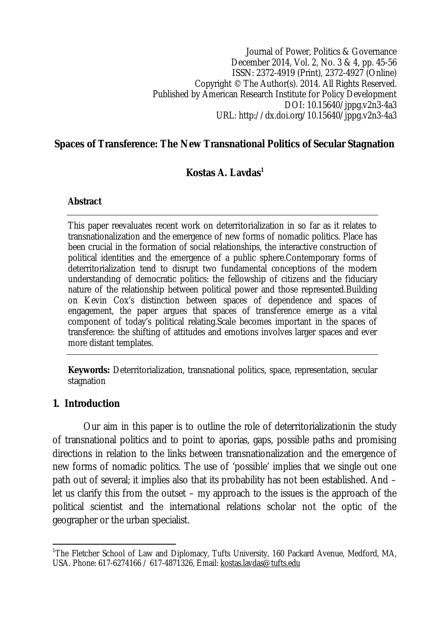Journal of Power, Politics & Governance December 2014, Vol. 2, No. 3 & 4, pp. 45-56 ISSN: 2372-4919 (Print), 2372-4927 (Online) Copyright © The Author(s). 2014. All Rights Reserved. Published by American Research Institute for Policy Development DOI: 10.15640/jppg.v2n3-4a3 URL: http://dx.doi.org/10.15640/jppg.v2n3-4a3

#### **Spaces of Transference: The New Transnational Politics of Secular Stagnation**

#### **Kostas A. Lavdas<sup>1</sup>**

#### **Abstract**

This paper reevaluates recent work on deterritorialization in so far as it relates to transnationalization and the emergence of new forms of nomadic politics. Place has been crucial in the formation of social relationships, the interactive construction of political identities and the emergence of a public sphere.Contemporary forms of deterritorialization tend to disrupt two fundamental conceptions of the modern understanding of democratic politics: the fellowship of citizens and the fiduciary nature of the relationship between political power and those represented.Building on Kevin Cox's distinction between spaces of dependence and spaces of engagement, the paper argues that spaces of transference emerge as a vital component of today's political relating.Scale becomes important in the spaces of transference: the shifting of attitudes and emotions involves larger spaces and ever more distant templates.

**Keywords:** Deterritorialization, transnational politics, space, representation, secular stagnation

#### **1. Introduction**

Our aim in this paper is to outline the role of deterritorializationin the study of transnational politics and to point to aporias, gaps, possible paths and promising directions in relation to the links between transnationalization and the emergence of new forms of nomadic politics. The use of 'possible' implies that we single out one path out of several; it implies also that its probability has not been established. And – let us clarify this from the outset – my approach to the issues is the approach of the political scientist and the international relations scholar not the optic of the geographer or the urban specialist.

 $\overline{a}$ <sup>1</sup>The Fletcher School of Law and Diplomacy, Tufts University, 160 Packard Avenue, Medford, MA, USA. Phone: 617-6274166 / 617-4871326, Email: kostas.lavdas@tufts.edu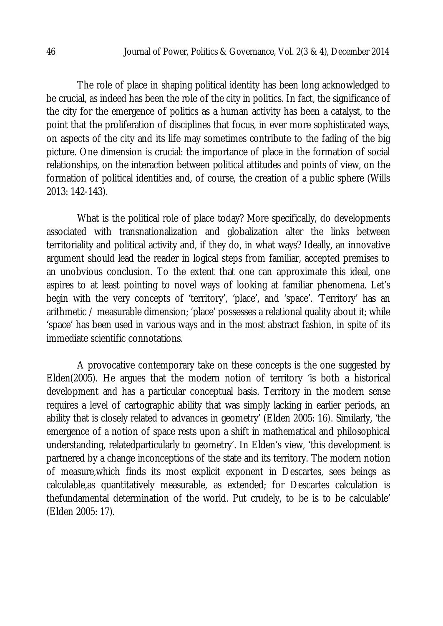The role of place in shaping political identity has been long acknowledged to be crucial, as indeed has been the role of the city in politics. In fact, the significance of the city for the emergence of politics as a human activity has been a catalyst, to the point that the proliferation of disciplines that focus, in ever more sophisticated ways, on aspects of the city and its life may sometimes contribute to the fading of the big picture. One dimension is crucial: the importance of place in the formation of social relationships, on the interaction between political attitudes and points of view, on the formation of political identities and, of course, the creation of a public sphere (Wills 2013: 142-143).

What is the political role of place today? More specifically, do developments associated with transnationalization and globalization alter the links between territoriality and political activity and, if they do, in what ways? Ideally, an innovative argument should lead the reader in logical steps from familiar, accepted premises to an unobvious conclusion. To the extent that one can approximate this ideal, one aspires to at least pointing to novel ways of looking at familiar phenomena. Let's begin with the very concepts of 'territory', 'place', and 'space'. 'Territory' has an arithmetic / measurable dimension; 'place' possesses a relational quality about it; while 'space' has been used in various ways and in the most abstract fashion, in spite of its immediate scientific connotations.

A provocative contemporary take on these concepts is the one suggested by Elden(2005). He argues that the modern notion of territory 'is both a historical development and has a particular conceptual basis. Territory in the modern sense requires a level of cartographic ability that was simply lacking in earlier periods, an ability that is closely related to advances in geometry' (Elden 2005: 16). Similarly, 'the emergence of a notion of space rests upon a shift in mathematical and philosophical understanding, relatedparticularly to geometry'. In Elden's view, 'this development is partnered by a change inconceptions of the state and its territory. The modern notion of measure,which finds its most explicit exponent in Descartes, sees beings as calculable,as quantitatively measurable, as extended; for Descartes calculation is thefundamental determination of the world. Put crudely, to be is to be calculable' (Elden 2005: 17).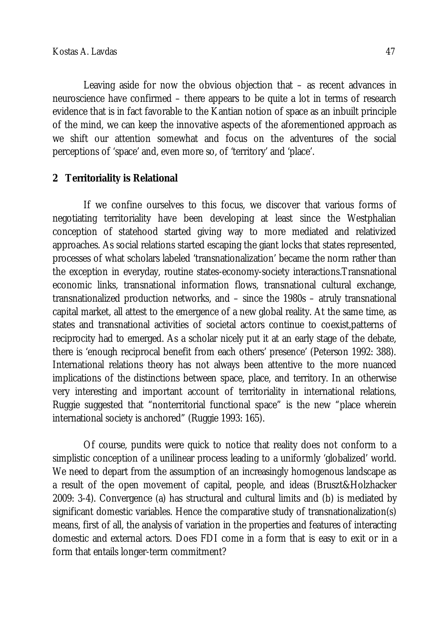Leaving aside for now the obvious objection that – as recent advances in neuroscience have confirmed – there appears to be quite a lot in terms of research evidence that is in fact favorable to the Kantian notion of space as an inbuilt principle of the mind, we can keep the innovative aspects of the aforementioned approach as we shift our attention somewhat and focus on the adventures of the social perceptions of 'space' and, even more so, of 'territory' and 'place'.

# **2 Territoriality is Relational**

If we confine ourselves to this focus, we discover that various forms of negotiating territoriality have been developing at least since the Westphalian conception of statehood started giving way to more mediated and relativized approaches. As social relations started escaping the giant locks that states represented, processes of what scholars labeled 'transnationalization' became the norm rather than the exception in everyday, routine states-economy-society interactions.Transnational economic links, transnational information flows, transnational cultural exchange, transnationalized production networks, and – since the 1980s – atruly transnational capital market, all attest to the emergence of a new global reality. At the same time, as states and transnational activities of societal actors continue to coexist,patterns of reciprocity had to emerged. As a scholar nicely put it at an early stage of the debate, there is 'enough reciprocal benefit from each others' presence' (Peterson 1992: 388). International relations theory has not always been attentive to the more nuanced implications of the distinctions between space, place, and territory. In an otherwise very interesting and important account of territoriality in international relations, Ruggie suggested that "nonterritorial functional space" is the new "place wherein international society is anchored" (Ruggie 1993: 165).

Of course, pundits were quick to notice that reality does not conform to a simplistic conception of a unilinear process leading to a uniformly 'globalized' world. We need to depart from the assumption of an increasingly homogenous landscape as a result of the open movement of capital, people, and ideas (Bruszt&Holzhacker 2009: 3-4). Convergence (a) has structural and cultural limits and (b) is mediated by significant domestic variables. Hence the comparative study of transnationalization(s) means, first of all, the analysis of variation in the properties and features of interacting domestic and external actors. Does FDI come in a form that is easy to exit or in a form that entails longer-term commitment?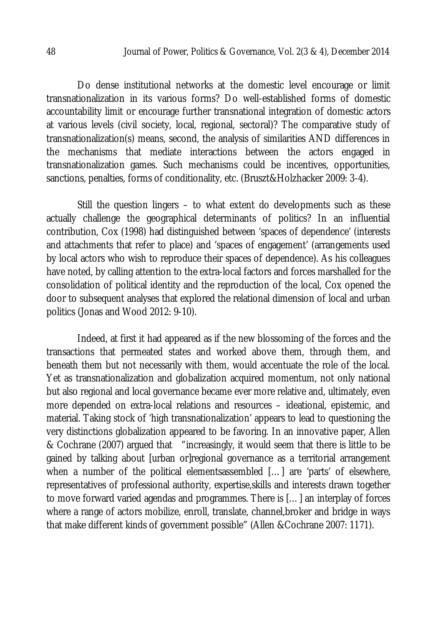Do dense institutional networks at the domestic level encourage or limit transnationalization in its various forms? Do well-established forms of domestic accountability limit or encourage further transnational integration of domestic actors at various levels (civil society, local, regional, sectoral)? The comparative study of transnationalization(s) means, second, the analysis of similarities AND differences in the mechanisms that mediate interactions between the actors engaged in transnationalization games. Such mechanisms could be incentives, opportunities, sanctions, penalties, forms of conditionality, etc. (Bruszt&Holzhacker 2009: 3-4).

Still the question lingers – to what extent do developments such as these actually challenge the geographical determinants of politics? In an influential contribution, Cox (1998) had distinguished between 'spaces of dependence' (interests and attachments that refer to place) and 'spaces of engagement' (arrangements used by local actors who wish to reproduce their spaces of dependence). As his colleagues have noted, by calling attention to the extra-local factors and forces marshalled for the consolidation of political identity and the reproduction of the local, Cox opened the door to subsequent analyses that explored the relational dimension of local and urban politics (Jonas and Wood 2012: 9-10).

Indeed, at first it had appeared as if the new blossoming of the forces and the transactions that permeated states and worked above them, through them, and beneath them but not necessarily with them, would accentuate the role of the local. Yet as transnationalization and globalization acquired momentum, not only national but also regional and local governance became ever more relative and, ultimately, even more depended on extra-local relations and resources – ideational, epistemic, and material. Taking stock of 'high transnationalization' appears to lead to questioning the very distinctions globalization appeared to be favoring. In an innovative paper, Allen & Cochrane (2007) argued that "increasingly, it would seem that there is little to be gained by talking about [urban or]regional governance as a territorial arrangement when a number of the political elementsassembled [...] are 'parts' of elsewhere, representatives of professional authority, expertise,skills and interests drawn together to move forward varied agendas and programmes. There is […] an interplay of forces where a range of actors mobilize, enroll, translate, channel,broker and bridge in ways that make different kinds of government possible" (Allen &Cochrane 2007: 1171).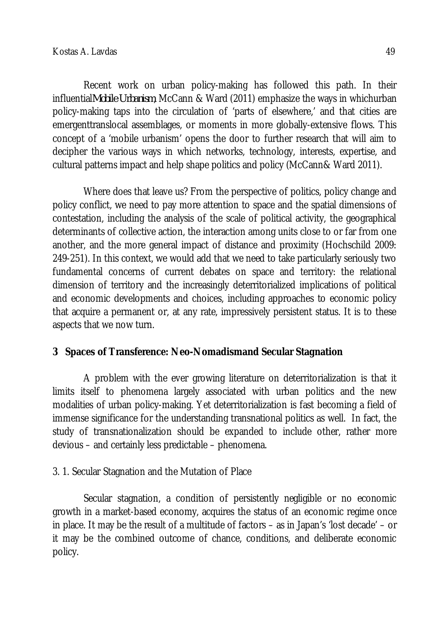Recent work on urban policy-making has followed this path. In their influential*Mobile Urbanism*, McCann & Ward (2011) emphasize the ways in whichurban policy-making taps into the circulation of 'parts of elsewhere,' and that cities are emergenttranslocal assemblages, or moments in more globally-extensive flows. This concept of a 'mobile urbanism' opens the door to further research that will aim to decipher the various ways in which networks, technology, interests, expertise, and cultural patterns impact and help shape politics and policy (McCann& Ward 2011).

Where does that leave us? From the perspective of politics, policy change and policy conflict, we need to pay more attention to space and the spatial dimensions of contestation, including the analysis of the scale of political activity, the geographical determinants of collective action, the interaction among units close to or far from one another, and the more general impact of distance and proximity (Hochschild 2009: 249-251). In this context, we would add that we need to take particularly seriously two fundamental concerns of current debates on space and territory: the relational dimension of territory and the increasingly deterritorialized implications of political and economic developments and choices, including approaches to economic policy that acquire a permanent or, at any rate, impressively persistent status. It is to these aspects that we now turn.

# **3 Spaces of Transference: Neo-Nomadismand Secular Stagnation**

A problem with the ever growing literature on deterritorialization is that it limits itself to phenomena largely associated with urban politics and the new modalities of urban policy-making. Yet deterritorialization is fast becoming a field of immense significance for the understanding transnational politics as well. In fact, the study of transnationalization should be expanded to include other, rather more devious – and certainly less predictable – phenomena.

# 3. 1. Secular Stagnation and the Mutation of Place

Secular stagnation, a condition of persistently negligible or no economic growth in a market-based economy, acquires the status of an economic regime once in place. It may be the result of a multitude of factors – as in Japan's 'lost decade' – or it may be the combined outcome of chance, conditions, and deliberate economic policy.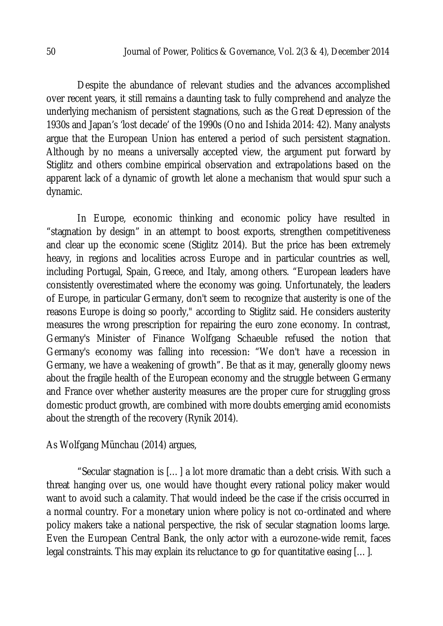Despite the abundance of relevant studies and the advances accomplished over recent years, it still remains a daunting task to fully comprehend and analyze the underlying mechanism of persistent stagnations, such as the Great Depression of the 1930s and Japan's 'lost decade' of the 1990s (Ono and Ishida 2014: 42). Many analysts argue that the European Union has entered a period of such persistent stagnation. Although by no means a universally accepted view, the argument put forward by Stiglitz and others combine empirical observation and extrapolations based on the apparent lack of a dynamic of growth let alone a mechanism that would spur such a dynamic.

In Europe, economic thinking and economic policy have resulted in "stagnation by design" in an attempt to boost exports, strengthen competitiveness and clear up the economic scene (Stiglitz 2014). But the price has been extremely heavy, in regions and localities across Europe and in particular countries as well, including Portugal, Spain, Greece, and Italy, among others. "European leaders have consistently overestimated where the economy was going. Unfortunately, the leaders of Europe, in particular Germany, don't seem to recognize that austerity is one of the reasons Europe is doing so poorly," according to Stiglitz said. He considers austerity measures the wrong prescription for repairing the euro zone economy. In contrast, Germany's Minister of Finance Wolfgang Schaeuble refused the notion that Germany's economy was falling into recession: "We don't have a recession in Germany, we have a weakening of growth". Be that as it may, generally gloomy news about the fragile health of the European economy and the struggle between Germany and France over whether austerity measures are the proper cure for struggling gross domestic product growth, are combined with more doubts emerging amid economists about the strength of the recovery (Rynik 2014).

As Wolfgang Münchau (2014) argues,

"Secular stagnation is […] a lot more dramatic than a debt crisis. With such a threat hanging over us, one would have thought every rational policy maker would want to avoid such a calamity. That would indeed be the case if the crisis occurred in a normal country. For a monetary union where policy is not co-ordinated and where policy makers take a national perspective, the risk of secular stagnation looms large. Even the European Central Bank, the only actor with a eurozone-wide remit, faces legal constraints. This may explain its reluctance to go for quantitative easing […].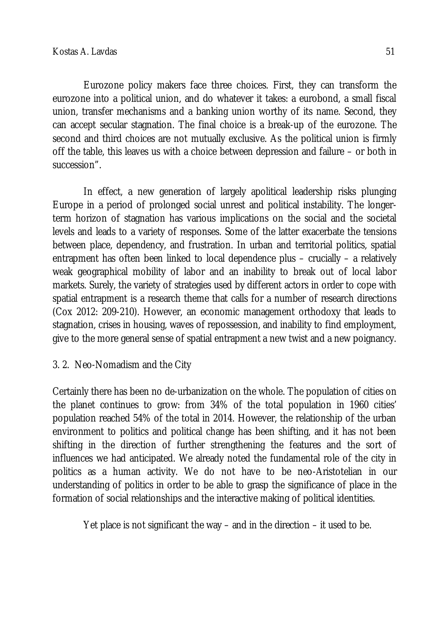Eurozone policy makers face three choices. First, they can transform the eurozone into a political union, and do whatever it takes: a eurobond, a small fiscal union, transfer mechanisms and a banking union worthy of its name. Second, they can accept secular stagnation. The final choice is a break-up of the eurozone. The second and third choices are not mutually exclusive. As the political union is firmly off the table, this leaves us with a choice between depression and failure – or both in succession".

In effect, a new generation of largely apolitical leadership risks plunging Europe in a period of prolonged social unrest and political instability. The longerterm horizon of stagnation has various implications on the social and the societal levels and leads to a variety of responses. Some of the latter exacerbate the tensions between place, dependency, and frustration. In urban and territorial politics, spatial entrapment has often been linked to local dependence plus – crucially – a relatively weak geographical mobility of labor and an inability to break out of local labor markets. Surely, the variety of strategies used by different actors in order to cope with spatial entrapment is a research theme that calls for a number of research directions (Cox 2012: 209-210). However, an economic management orthodoxy that leads to stagnation, crises in housing, waves of repossession, and inability to find employment, give to the more general sense of spatial entrapment a new twist and a new poignancy.

# 3. 2. Neo-Nomadism and the City

Certainly there has been no de-urbanization on the whole. The population of cities on the planet continues to grow: from 34% of the total population in 1960 cities' population reached 54% of the total in 2014. However, the relationship of the urban environment to politics and political change has been shifting, and it has not been shifting in the direction of further strengthening the features and the sort of influences we had anticipated. We already noted the fundamental role of the city in politics as a human activity. We do not have to be neo-Aristotelian in our understanding of politics in order to be able to grasp the significance of place in the formation of social relationships and the interactive making of political identities.

Yet place is not significant the way – and in the direction – it used to be.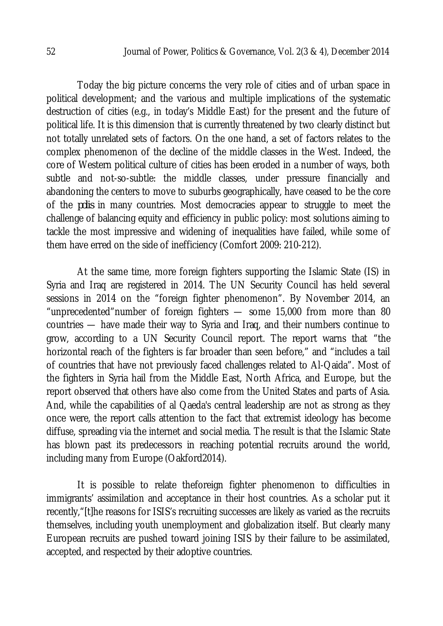Today the big picture concerns the very role of cities and of urban space in political development; and the various and multiple implications of the systematic destruction of cities (e.g., in today's Middle East) for the present and the future of political life. It is this dimension that is currently threatened by two clearly distinct but not totally unrelated sets of factors. On the one hand, a set of factors relates to the complex phenomenon of the decline of the middle classes in the West. Indeed, the core of Western political culture of cities has been eroded in a number of ways, both subtle and not-so-subtle: the middle classes, under pressure financially and abandoning the centers to move to suburbs geographically, have ceased to be the core of the *polis* in many countries. Most democracies appear to struggle to meet the challenge of balancing equity and efficiency in public policy: most solutions aiming to tackle the most impressive and widening of inequalities have failed, while some of them have erred on the side of inefficiency (Comfort 2009: 210-212).

At the same time, more foreign fighters supporting the Islamic State (IS) in Syria and Iraq are registered in 2014. The UN Security Council has held several sessions in 2014 on the "foreign fighter phenomenon". By November 2014, an "unprecedented"number of foreign fighters — some 15,000 from more than 80 countries — have made their way to Syria and Iraq, and their numbers continue to grow, according to a UN Security Council report. The report warns that "the horizontal reach of the fighters is far broader than seen before," and "includes a tail of countries that have not previously faced challenges related to Al-Qaida". Most of the fighters in Syria hail from the Middle East, North Africa, and Europe, but the report observed that others have also come from the United States and parts of Asia. And, while the capabilities of al Qaeda's central leadership are not as strong as they once were, the report calls attention to the fact that extremist ideology has become diffuse, spreading via the internet and social media. The result is that the Islamic State has blown past its predecessors in reaching potential recruits around the world, including many from Europe (Oakford2014).

It is possible to relate theforeign fighter phenomenon to difficulties in immigrants' assimilation and acceptance in their host countries. As a scholar put it recently,"[t]he reasons for ISIS's recruiting successes are likely as varied as the recruits themselves, including youth unemployment and globalization itself. But clearly many European recruits are pushed toward joining ISIS by their failure to be assimilated, accepted, and respected by their adoptive countries.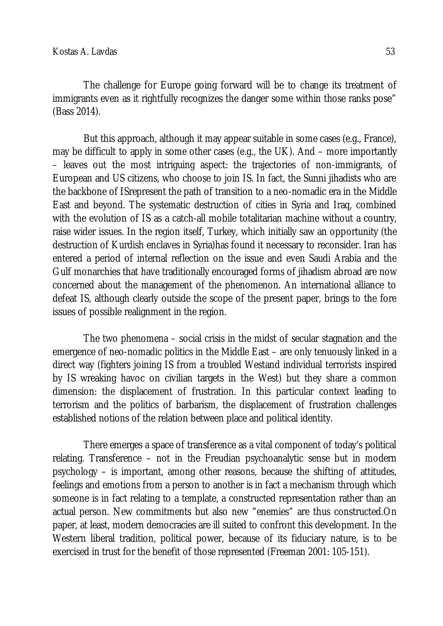The challenge for Europe going forward will be to change its treatment of immigrants even as it rightfully recognizes the danger some within those ranks pose" (Bass 2014).

But this approach, although it may appear suitable in some cases (e.g., France), may be difficult to apply in some other cases (e.g., the UK). And – more importantly – leaves out the most intriguing aspect: the trajectories of non-immigrants, of European and US citizens, who choose to join IS. In fact, the Sunni jihadists who are the backbone of ISrepresent the path of transition to a neo-nomadic era in the Middle East and beyond. The systematic destruction of cities in Syria and Iraq, combined with the evolution of IS as a catch-all mobile totalitarian machine without a country, raise wider issues. In the region itself, Turkey, which initially saw an opportunity (the destruction of Kurdish enclaves in Syria)has found it necessary to reconsider. Iran has entered a period of internal reflection on the issue and even Saudi Arabia and the Gulf monarchies that have traditionally encouraged forms of jihadism abroad are now concerned about the management of the phenomenon. An international alliance to defeat IS, although clearly outside the scope of the present paper, brings to the fore issues of possible realignment in the region.

The two phenomena – social crisis in the midst of secular stagnation and the emergence of neo-nomadic politics in the Middle East – are only tenuously linked in a direct way (fighters joining IS from a troubled Westand individual terrorists inspired by IS wreaking havoc on civilian targets in the West) but they share a common dimension: the displacement of frustration. In this particular context leading to terrorism and the politics of barbarism, the displacement of frustration challenges established notions of the relation between place and political identity.

There emerges a space of transference as a vital component of today's political relating. Transference – not in the Freudian psychoanalytic sense but in modern psychology – is important, among other reasons, because the shifting of attitudes, feelings and emotions from a person to another is in fact a mechanism through which someone is in fact relating to a template, a constructed representation rather than an actual person. New commitments but also new "enemies" are thus constructed.On paper, at least, modern democracies are ill suited to confront this development. In the Western liberal tradition, political power, because of its fiduciary nature, is to be exercised in trust for the benefit of those represented (Freeman 2001: 105-151).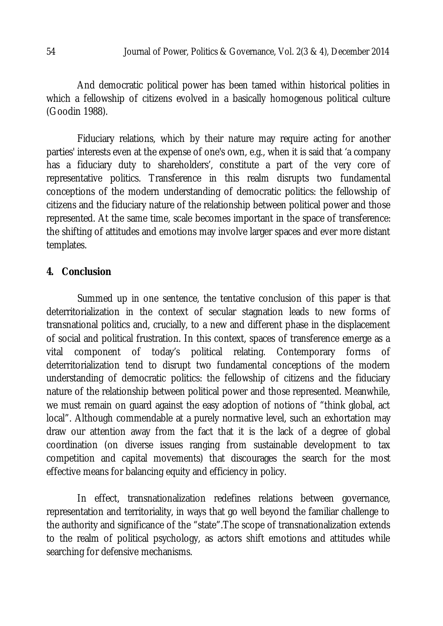And democratic political power has been tamed within historical polities in which a fellowship of citizens evolved in a basically homogenous political culture (Goodin 1988).

Fiduciary relations, which by their nature may require acting for another parties' interests even at the expense of one's own, e.g., when it is said that 'a company has a fiduciary duty to shareholders', constitute a part of the very core of representative politics. Transference in this realm disrupts two fundamental conceptions of the modern understanding of democratic politics: the fellowship of citizens and the fiduciary nature of the relationship between political power and those represented. At the same time, scale becomes important in the space of transference: the shifting of attitudes and emotions may involve larger spaces and ever more distant templates.

#### **4. Conclusion**

Summed up in one sentence, the tentative conclusion of this paper is that deterritorialization in the context of secular stagnation leads to new forms of transnational politics and, crucially, to a new and different phase in the displacement of social and political frustration. In this context, spaces of transference emerge as a vital component of today's political relating. Contemporary forms of deterritorialization tend to disrupt two fundamental conceptions of the modern understanding of democratic politics: the fellowship of citizens and the fiduciary nature of the relationship between political power and those represented. Meanwhile, we must remain on guard against the easy adoption of notions of "think global, act local". Although commendable at a purely normative level, such an exhortation may draw our attention away from the fact that it is the lack of a degree of global coordination (on diverse issues ranging from sustainable development to tax competition and capital movements) that discourages the search for the most effective means for balancing equity and efficiency in policy.

In effect, transnationalization redefines relations between governance, representation and territoriality, in ways that go well beyond the familiar challenge to the authority and significance of the "state".The scope of transnationalization extends to the realm of political psychology, as actors shift emotions and attitudes while searching for defensive mechanisms.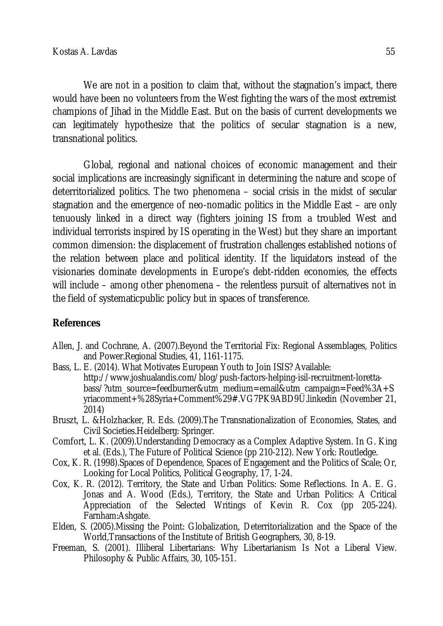We are not in a position to claim that, without the stagnation's impact, there would have been no volunteers from the West fighting the wars of the most extremist champions of Jihad in the Middle East. But on the basis of current developments we can legitimately hypothesize that the politics of secular stagnation is a new, transnational politics.

Global, regional and national choices of economic management and their social implications are increasingly significant in determining the nature and scope of deterritorialized politics. The two phenomena – social crisis in the midst of secular stagnation and the emergence of neo-nomadic politics in the Middle East – are only tenuously linked in a direct way (fighters joining IS from a troubled West and individual terrorists inspired by IS operating in the West) but they share an important common dimension: the displacement of frustration challenges established notions of the relation between place and political identity. If the liquidators instead of the visionaries dominate developments in Europe's debt-ridden economies, the effects will include – among other phenomena – the relentless pursuit of alternatives not in the field of systematicpublic policy but in spaces of transference.

# **References**

- Allen, J. and Cochrane, A. (2007).Beyond the Territorial Fix: Regional Assemblages, Politics and Power.Regional Studies, 41, 1161-1175.
- Bass, L. E. (2014). What Motivates European Youth to Join ISIS? Available: http://www.joshualandis.com/blog/push-factors-helping-isil-recruitment-lorettabass/?utm\_source=feedburner&utm\_medium=email&utm\_campaign=Feed%3A+S yriacomment+%28Syria+Comment%29#.VG7PK9ABD9U.linkedin (November 21, 2014)
- Bruszt, L. &Holzhacker, R. Eds. (2009).The Transnationalization of Economies, States, and Civil Societies.Heidelberg: Springer.
- Comfort, L. K. (2009).Understanding Democracy as a Complex Adaptive System. In G. King et al. (Eds.), The Future of Political Science (pp 210-212). New York: Routledge.
- Cox, K. R. (1998).Spaces of Dependence, Spaces of Engagement and the Politics of Scale; Or, Looking for Local Politics, Political Geography, 17, 1-24.
- Cox, K. R. (2012). Territory, the State and Urban Politics: Some Reflections. In A. E. G. Jonas and A. Wood (Eds.), Territory, the State and Urban Politics: A Critical Appreciation of the Selected Writings of Kevin R. Cox (pp 205-224). Farnham:Ashgate.
- Elden, S. (2005).Missing the Point: Globalization, Deterritorialization and the Space of the World,Transactions of the Institute of British Geographers, 30, 8-19.
- Freeman, S. (2001). Illiberal Libertarians: Why Libertarianism Is Not a Liberal View. Philosophy & Public Affairs, 30, 105-151.